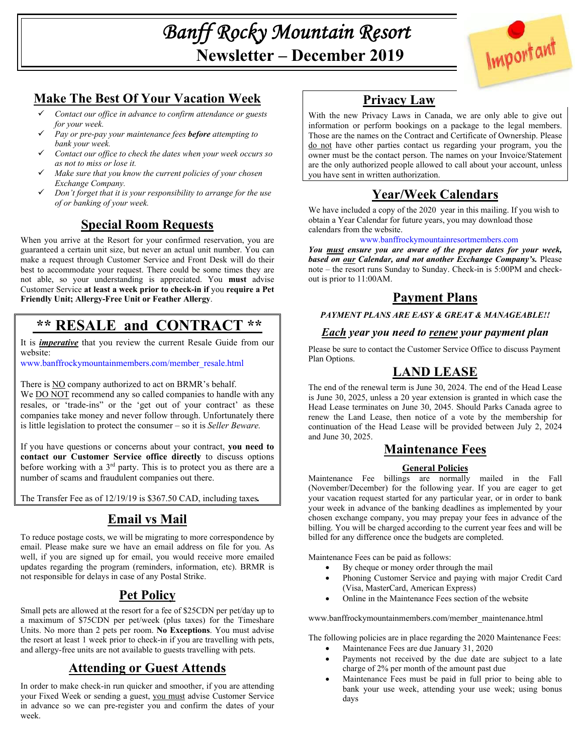*Banff Rocky Mountain Resort* **Newsletter – December 2019** 



## **Make The Best Of Your Vacation Week**

- *Contact our office in advance to confirm attendance or guests for your week.*
- *Pay or pre-pay your maintenance fees before attempting to bank your week.*
- *Contact our office to check the dates when your week occurs so as not to miss or lose it.*
- *Make sure that you know the current policies of your chosen Exchange Company.*
- *Don't forget that it is your responsibility to arrange for the use of or banking of your week.*

## **Special Room Requests**

When you arrive at the Resort for your confirmed reservation, you are guaranteed a certain unit size, but never an actual unit number. You can make a request through Customer Service and Front Desk will do their best to accommodate your request. There could be some times they are not able, so your understanding is appreciated. You **must** advise Customer Service **at least a week prior to check-in if** you **require a Pet Friendly Unit; Allergy-Free Unit or Feather Allergy**.

# **\*\* RESALE and CONTRACT \*\***

It is *imperative* that you review the current Resale Guide from our website:

www.banffrockymountainmembers.com/member\_resale.html

There is NO company authorized to act on BRMR's behalf.

We DO NOT recommend any so called companies to handle with any resales, or 'trade-ins" or the 'get out of your contract' as these companies take money and never follow through. Unfortunately there is little legislation to protect the consumer – so it is *Seller Beware.*

If you have questions or concerns about your contract, **you need to contact our Customer Service office directly** to discuss options before working with a 3rd party. This is to protect you as there are a number of scams and fraudulent companies out there.

The Transfer Fee as of 12/19/19 is \$367.50 CAD, including taxes*.* 

## **Email vs Mail**

To reduce postage costs, we will be migrating to more correspondence by email. Please make sure we have an email address on file for you. As well, if you are signed up for email, you would receive more emailed updates regarding the program (reminders, information, etc). BRMR is not responsible for delays in case of any Postal Strike.

## **Pet Policy**

Small pets are allowed at the resort for a fee of \$25CDN per pet/day up to a maximum of \$75CDN per pet/week (plus taxes) for the Timeshare Units. No more than 2 pets per room. **No Exceptions**. You must advise the resort at least 1 week prior to check-in if you are travelling with pets, and allergy-free units are not available to guests travelling with pets.

## **Attending or Guest Attends**

In order to make check-in run quicker and smoother, if you are attending your Fixed Week or sending a guest, you must advise Customer Service in advance so we can pre-register you and confirm the dates of your week.

## **Privacy Law**

With the new Privacy Laws in Canada, we are only able to give out information or perform bookings on a package to the legal members. Those are the names on the Contract and Certificate of Ownership. Please do not have other parties contact us regarding your program, you the owner must be the contact person. The names on your Invoice/Statement are the only authorized people allowed to call about your account, unless you have sent in written authorization.

# **Year/Week Calendars**

We have included a copy of the 2020 year in this mailing. If you wish to obtain a Year Calendar for future years, you may download those calendars from the website.

### www.banffrockymountainresortmembers.com

*You must ensure you are aware of the proper dates for your week, based on our Calendar, and not another Exchange Company's.* Please note – the resort runs Sunday to Sunday. Check-in is 5:00PM and checkout is prior to 11:00AM.

## **Payment Plans**

*PAYMENT PLANS ARE EASY & GREAT & MANAGEABLE!!* 

### *Each year you need to renew your payment plan*

Please be sure to contact the Customer Service Office to discuss Payment Plan Options.

## **LAND LEASE**

The end of the renewal term is June 30, 2024. The end of the Head Lease is June 30, 2025, unless a 20 year extension is granted in which case the Head Lease terminates on June 30, 2045. Should Parks Canada agree to renew the Land Lease, then notice of a vote by the membership for continuation of the Head Lease will be provided between July 2, 2024 and June 30, 2025.

## **Maintenance Fees**

### **General Policies**

Maintenance Fee billings are normally mailed in the Fall (November/December) for the following year. If you are eager to get your vacation request started for any particular year, or in order to bank your week in advance of the banking deadlines as implemented by your chosen exchange company, you may prepay your fees in advance of the billing. You will be charged according to the current year fees and will be billed for any difference once the budgets are completed.

Maintenance Fees can be paid as follows:

- By cheque or money order through the mail
- Phoning Customer Service and paying with major Credit Card (Visa, MasterCard, American Express)
- Online in the Maintenance Fees section of the website

www.banffrockymountainmembers.com/member\_maintenance.html

The following policies are in place regarding the 2020 Maintenance Fees:

- Maintenance Fees are due January 31, 2020
- Payments not received by the due date are subject to a late charge of 2% per month of the amount past due
- Maintenance Fees must be paid in full prior to being able to bank your use week, attending your use week; using bonus days